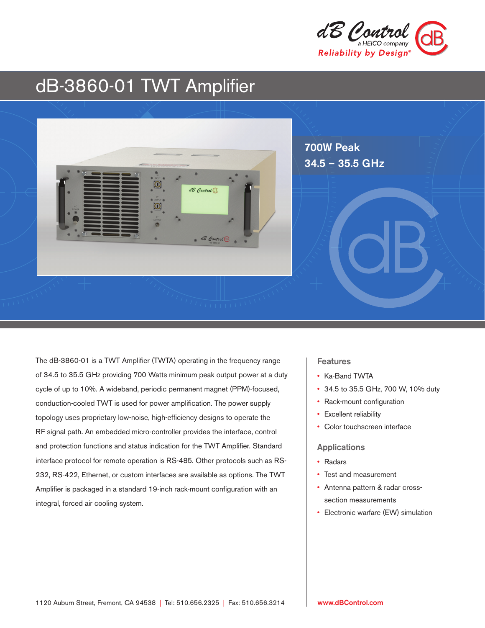

# dB-3860-01 TWT Amplifier



The dB-3860-01 is a TWT Amplifier (TWTA) operating in the frequency range of 34.5 to 35.5 GHz providing 700 Watts minimum peak output power at a duty cycle of up to 10%. A wideband, periodic permanent magnet (PPM)-focused, conduction-cooled TWT is used for power amplification. The power supply topology uses proprietary low-noise, high-efficiency designs to operate the RF signal path. An embedded micro-controller provides the interface, control and protection functions and status indication for the TWT Amplifier. Standard interface protocol for remote operation is RS-485. Other protocols such as RS-232, RS-422, Ethernet, or custom interfaces are available as options. The TWT Amplifier is packaged in a standard 19-inch rack-mount configuration with an integral, forced air cooling system.

## **Features**

- Ka-Band TWTA
- 34.5 to 35.5 GHz, 700 W, 10% duty
- Rack-mount configuration
- Excellent reliability
- Color touchscreen interface

## Applications

- Radars
- Test and measurement
- Antenna pattern & radar crosssection measurements
- Electronic warfare (EW) simulation